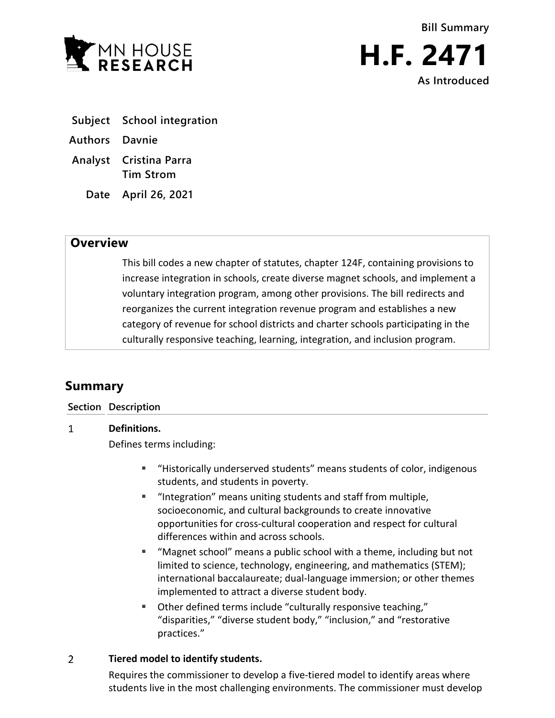

- **Subject School integration**
- **Authors Davnie**
- **Analyst Cristina Parra Tim Strom**
	- **Date April 26, 2021**

## **Overview**

This bill codes a new chapter of statutes, chapter 124F, containing provisions to increase integration in schools, create diverse magnet schools, and implement a voluntary integration program, among other provisions. The bill redirects and reorganizes the current integration revenue program and establishes a new category of revenue for school districts and charter schools participating in the culturally responsive teaching, learning, integration, and inclusion program.

# **Summary**

### **Section Description**

#### $\mathbf{1}$ **Definitions.**

Defines terms including:

- "Historically underserved students" means students of color, indigenous students, and students in poverty.
- "Integration" means uniting students and staff from multiple, socioeconomic, and cultural backgrounds to create innovative opportunities for cross-cultural cooperation and respect for cultural differences within and across schools.
- "Magnet school" means a public school with a theme, including but not limited to science, technology, engineering, and mathematics (STEM); international baccalaureate; dual-language immersion; or other themes implemented to attract a diverse student body.
- Other defined terms include "culturally responsive teaching," "disparities," "diverse student body," "inclusion," and "restorative practices."

#### $\overline{2}$ **Tiered model to identify students.**

Requires the commissioner to develop a five-tiered model to identify areas where students live in the most challenging environments. The commissioner must develop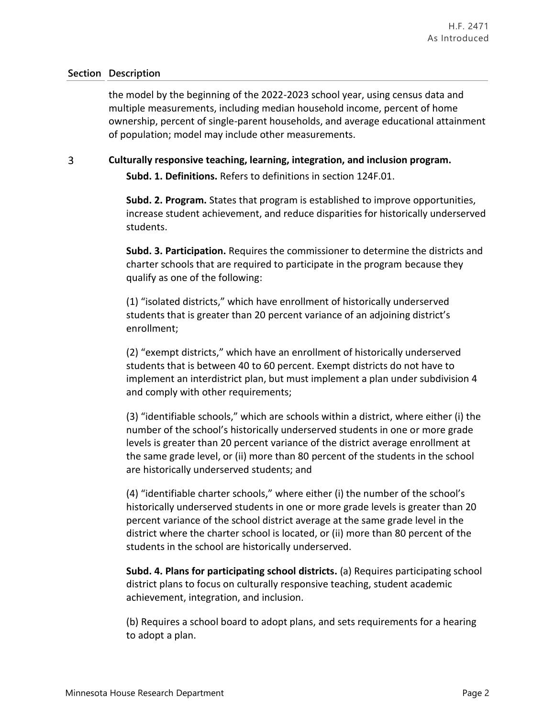the model by the beginning of the 2022-2023 school year, using census data and multiple measurements, including median household income, percent of home ownership, percent of single-parent households, and average educational attainment of population; model may include other measurements.

#### $\overline{3}$ **Culturally responsive teaching, learning, integration, and inclusion program.**

**Subd. 1. Definitions.** Refers to definitions in section 124F.01.

**Subd. 2. Program.** States that program is established to improve opportunities, increase student achievement, and reduce disparities for historically underserved students.

**Subd. 3. Participation.** Requires the commissioner to determine the districts and charter schools that are required to participate in the program because they qualify as one of the following:

(1) "isolated districts," which have enrollment of historically underserved students that is greater than 20 percent variance of an adjoining district's enrollment;

(2) "exempt districts," which have an enrollment of historically underserved students that is between 40 to 60 percent. Exempt districts do not have to implement an interdistrict plan, but must implement a plan under subdivision 4 and comply with other requirements;

(3) "identifiable schools," which are schools within a district, where either (i) the number of the school's historically underserved students in one or more grade levels is greater than 20 percent variance of the district average enrollment at the same grade level, or (ii) more than 80 percent of the students in the school are historically underserved students; and

(4) "identifiable charter schools," where either (i) the number of the school's historically underserved students in one or more grade levels is greater than 20 percent variance of the school district average at the same grade level in the district where the charter school is located, or (ii) more than 80 percent of the students in the school are historically underserved.

**Subd. 4. Plans for participating school districts.** (a) Requires participating school district plans to focus on culturally responsive teaching, student academic achievement, integration, and inclusion.

(b) Requires a school board to adopt plans, and sets requirements for a hearing to adopt a plan.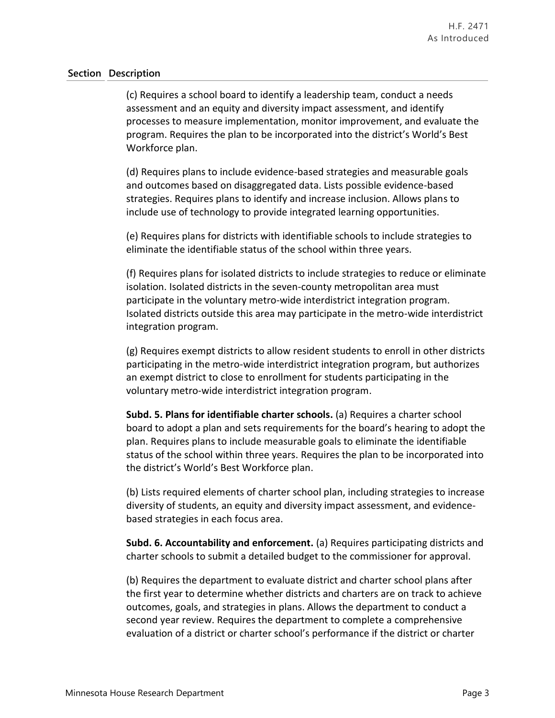(c) Requires a school board to identify a leadership team, conduct a needs assessment and an equity and diversity impact assessment, and identify processes to measure implementation, monitor improvement, and evaluate the program. Requires the plan to be incorporated into the district's World's Best Workforce plan.

(d) Requires plans to include evidence-based strategies and measurable goals and outcomes based on disaggregated data. Lists possible evidence-based strategies. Requires plans to identify and increase inclusion. Allows plans to include use of technology to provide integrated learning opportunities.

(e) Requires plans for districts with identifiable schools to include strategies to eliminate the identifiable status of the school within three years.

(f) Requires plans for isolated districts to include strategies to reduce or eliminate isolation. Isolated districts in the seven-county metropolitan area must participate in the voluntary metro-wide interdistrict integration program. Isolated districts outside this area may participate in the metro-wide interdistrict integration program.

(g) Requires exempt districts to allow resident students to enroll in other districts participating in the metro-wide interdistrict integration program, but authorizes an exempt district to close to enrollment for students participating in the voluntary metro-wide interdistrict integration program.

**Subd. 5. Plans for identifiable charter schools.** (a) Requires a charter school board to adopt a plan and sets requirements for the board's hearing to adopt the plan. Requires plans to include measurable goals to eliminate the identifiable status of the school within three years. Requires the plan to be incorporated into the district's World's Best Workforce plan.

(b) Lists required elements of charter school plan, including strategies to increase diversity of students, an equity and diversity impact assessment, and evidencebased strategies in each focus area.

**Subd. 6. Accountability and enforcement.** (a) Requires participating districts and charter schools to submit a detailed budget to the commissioner for approval.

(b) Requires the department to evaluate district and charter school plans after the first year to determine whether districts and charters are on track to achieve outcomes, goals, and strategies in plans. Allows the department to conduct a second year review. Requires the department to complete a comprehensive evaluation of a district or charter school's performance if the district or charter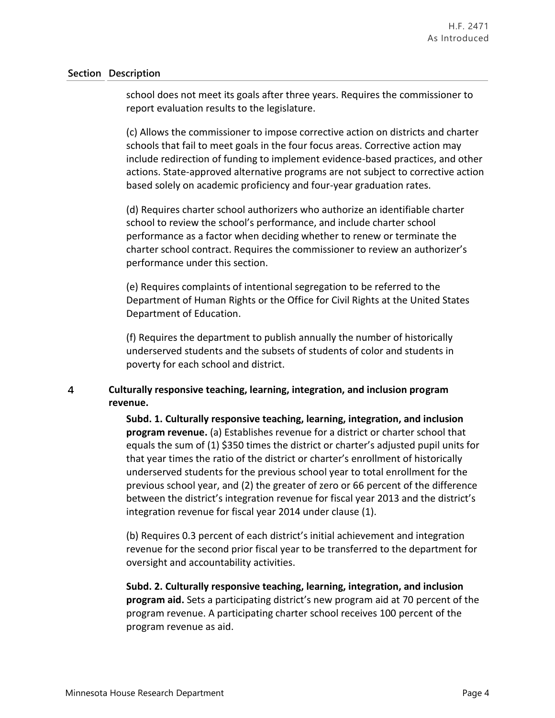school does not meet its goals after three years. Requires the commissioner to report evaluation results to the legislature.

(c) Allows the commissioner to impose corrective action on districts and charter schools that fail to meet goals in the four focus areas. Corrective action may include redirection of funding to implement evidence-based practices, and other actions. State-approved alternative programs are not subject to corrective action based solely on academic proficiency and four-year graduation rates.

(d) Requires charter school authorizers who authorize an identifiable charter school to review the school's performance, and include charter school performance as a factor when deciding whether to renew or terminate the charter school contract. Requires the commissioner to review an authorizer's performance under this section.

(e) Requires complaints of intentional segregation to be referred to the Department of Human Rights or the Office for Civil Rights at the United States Department of Education.

(f) Requires the department to publish annually the number of historically underserved students and the subsets of students of color and students in poverty for each school and district.

#### $\overline{4}$ **Culturally responsive teaching, learning, integration, and inclusion program revenue.**

**Subd. 1. Culturally responsive teaching, learning, integration, and inclusion program revenue.** (a) Establishes revenue for a district or charter school that equals the sum of (1) \$350 times the district or charter's adjusted pupil units for that year times the ratio of the district or charter's enrollment of historically underserved students for the previous school year to total enrollment for the previous school year, and (2) the greater of zero or 66 percent of the difference between the district's integration revenue for fiscal year 2013 and the district's integration revenue for fiscal year 2014 under clause (1).

(b) Requires 0.3 percent of each district's initial achievement and integration revenue for the second prior fiscal year to be transferred to the department for oversight and accountability activities.

**Subd. 2. Culturally responsive teaching, learning, integration, and inclusion program aid.** Sets a participating district's new program aid at 70 percent of the program revenue. A participating charter school receives 100 percent of the program revenue as aid.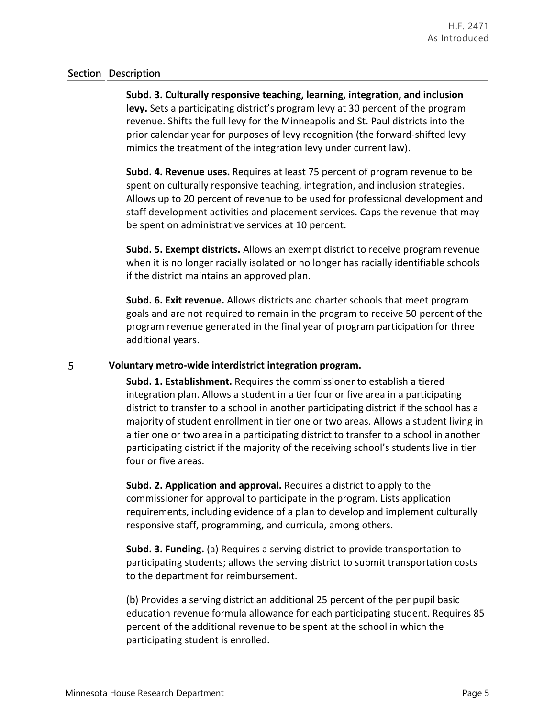**Subd. 3. Culturally responsive teaching, learning, integration, and inclusion levy.** Sets a participating district's program levy at 30 percent of the program revenue. Shifts the full levy for the Minneapolis and St. Paul districts into the prior calendar year for purposes of levy recognition (the forward-shifted levy mimics the treatment of the integration levy under current law).

**Subd. 4. Revenue uses.** Requires at least 75 percent of program revenue to be spent on culturally responsive teaching, integration, and inclusion strategies. Allows up to 20 percent of revenue to be used for professional development and staff development activities and placement services. Caps the revenue that may be spent on administrative services at 10 percent.

**Subd. 5. Exempt districts.** Allows an exempt district to receive program revenue when it is no longer racially isolated or no longer has racially identifiable schools if the district maintains an approved plan.

**Subd. 6. Exit revenue.** Allows districts and charter schools that meet program goals and are not required to remain in the program to receive 50 percent of the program revenue generated in the final year of program participation for three additional years.

#### 5 **Voluntary metro-wide interdistrict integration program.**

**Subd. 1. Establishment.** Requires the commissioner to establish a tiered integration plan. Allows a student in a tier four or five area in a participating district to transfer to a school in another participating district if the school has a majority of student enrollment in tier one or two areas. Allows a student living in a tier one or two area in a participating district to transfer to a school in another participating district if the majority of the receiving school's students live in tier four or five areas.

**Subd. 2. Application and approval.** Requires a district to apply to the commissioner for approval to participate in the program. Lists application requirements, including evidence of a plan to develop and implement culturally responsive staff, programming, and curricula, among others.

**Subd. 3. Funding.** (a) Requires a serving district to provide transportation to participating students; allows the serving district to submit transportation costs to the department for reimbursement.

(b) Provides a serving district an additional 25 percent of the per pupil basic education revenue formula allowance for each participating student. Requires 85 percent of the additional revenue to be spent at the school in which the participating student is enrolled.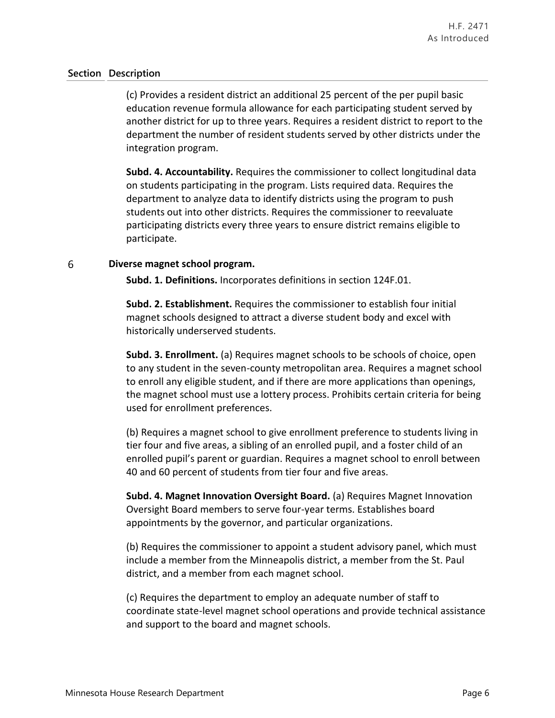(c) Provides a resident district an additional 25 percent of the per pupil basic education revenue formula allowance for each participating student served by another district for up to three years. Requires a resident district to report to the department the number of resident students served by other districts under the integration program.

**Subd. 4. Accountability.** Requires the commissioner to collect longitudinal data on students participating in the program. Lists required data. Requires the department to analyze data to identify districts using the program to push students out into other districts. Requires the commissioner to reevaluate participating districts every three years to ensure district remains eligible to participate.

#### 6 **Diverse magnet school program.**

**Subd. 1. Definitions.** Incorporates definitions in section 124F.01.

**Subd. 2. Establishment.** Requires the commissioner to establish four initial magnet schools designed to attract a diverse student body and excel with historically underserved students.

**Subd. 3. Enrollment.** (a) Requires magnet schools to be schools of choice, open to any student in the seven-county metropolitan area. Requires a magnet school to enroll any eligible student, and if there are more applications than openings, the magnet school must use a lottery process. Prohibits certain criteria for being used for enrollment preferences.

(b) Requires a magnet school to give enrollment preference to students living in tier four and five areas, a sibling of an enrolled pupil, and a foster child of an enrolled pupil's parent or guardian. Requires a magnet school to enroll between 40 and 60 percent of students from tier four and five areas.

**Subd. 4. Magnet Innovation Oversight Board.** (a) Requires Magnet Innovation Oversight Board members to serve four-year terms. Establishes board appointments by the governor, and particular organizations.

(b) Requires the commissioner to appoint a student advisory panel, which must include a member from the Minneapolis district, a member from the St. Paul district, and a member from each magnet school.

(c) Requires the department to employ an adequate number of staff to coordinate state-level magnet school operations and provide technical assistance and support to the board and magnet schools.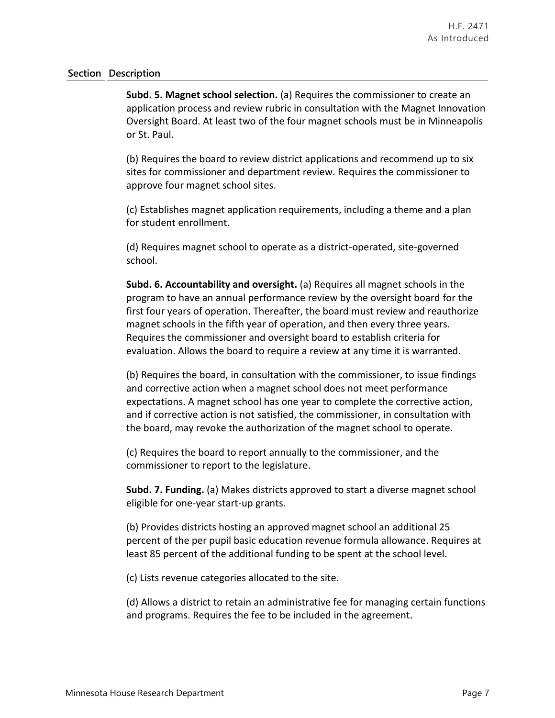**Subd. 5. Magnet school selection.** (a) Requires the commissioner to create an application process and review rubric in consultation with the Magnet Innovation Oversight Board. At least two of the four magnet schools must be in Minneapolis or St. Paul.

(b) Requires the board to review district applications and recommend up to six sites for commissioner and department review. Requires the commissioner to approve four magnet school sites.

(c) Establishes magnet application requirements, including a theme and a plan for student enrollment.

(d) Requires magnet school to operate as a district-operated, site-governed school.

**Subd. 6. Accountability and oversight.** (a) Requires all magnet schools in the program to have an annual performance review by the oversight board for the first four years of operation. Thereafter, the board must review and reauthorize magnet schools in the fifth year of operation, and then every three years. Requires the commissioner and oversight board to establish criteria for evaluation. Allows the board to require a review at any time it is warranted.

(b) Requires the board, in consultation with the commissioner, to issue findings and corrective action when a magnet school does not meet performance expectations. A magnet school has one year to complete the corrective action, and if corrective action is not satisfied, the commissioner, in consultation with the board, may revoke the authorization of the magnet school to operate.

(c) Requires the board to report annually to the commissioner, and the commissioner to report to the legislature.

**Subd. 7. Funding.** (a) Makes districts approved to start a diverse magnet school eligible for one-year start-up grants.

(b) Provides districts hosting an approved magnet school an additional 25 percent of the per pupil basic education revenue formula allowance. Requires at least 85 percent of the additional funding to be spent at the school level.

(c) Lists revenue categories allocated to the site.

(d) Allows a district to retain an administrative fee for managing certain functions and programs. Requires the fee to be included in the agreement.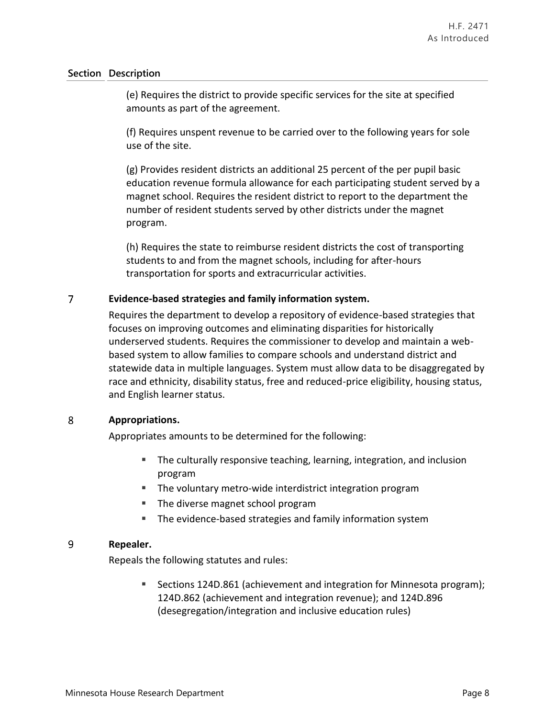(e) Requires the district to provide specific services for the site at specified amounts as part of the agreement.

(f) Requires unspent revenue to be carried over to the following years for sole use of the site.

(g) Provides resident districts an additional 25 percent of the per pupil basic education revenue formula allowance for each participating student served by a magnet school. Requires the resident district to report to the department the number of resident students served by other districts under the magnet program.

(h) Requires the state to reimburse resident districts the cost of transporting students to and from the magnet schools, including for after-hours transportation for sports and extracurricular activities.

#### $\overline{7}$ **Evidence-based strategies and family information system.**

Requires the department to develop a repository of evidence-based strategies that focuses on improving outcomes and eliminating disparities for historically underserved students. Requires the commissioner to develop and maintain a webbased system to allow families to compare schools and understand district and statewide data in multiple languages. System must allow data to be disaggregated by race and ethnicity, disability status, free and reduced-price eligibility, housing status, and English learner status.

#### 8 **Appropriations.**

Appropriates amounts to be determined for the following:

- The culturally responsive teaching, learning, integration, and inclusion program
- The voluntary metro-wide interdistrict integration program
- The diverse magnet school program
- **The evidence-based strategies and family information system**

#### 9 **Repealer.**

Repeals the following statutes and rules:

 Sections 124D.861 (achievement and integration for Minnesota program); 124D.862 (achievement and integration revenue); and 124D.896 (desegregation/integration and inclusive education rules)